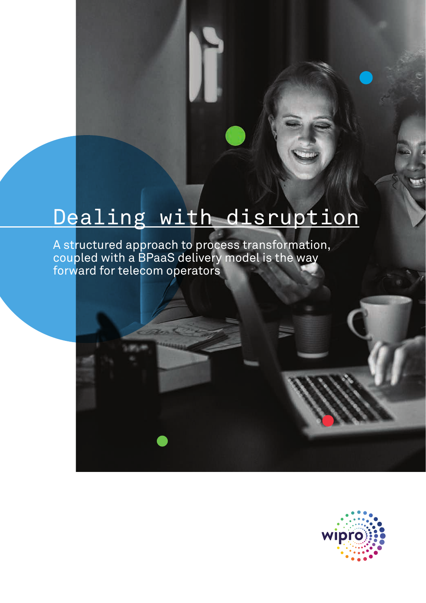# Dealing with disruption

A structured approach to process transformation, coupled with a BPaaS delivery model is the way forward for telecom operators

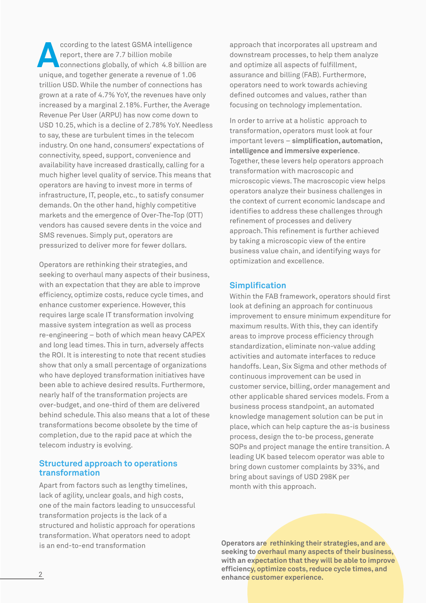unique, and together generate a revenue of 1.06 trillion USD. While the number of connections has grown at a rate of 4.7% YoY, the revenues have only increased by a marginal 2.18%. Further, the Average Revenue Per User (ARPU) has now come down to USD 10.25, which is a decline of 2.78% YoY. Needless to say, these are turbulent times in the telecom industry. On one hand, consumers' expectations of connectivity, speed, support, convenience and availability have increased drastically, calling for a much higher level quality of service. This means that operators are having to invest more in terms of infrastructure, IT, people, etc., to satisfy consumer demands. On the other hand, highly competitive markets and the emergence of Over-The-Top (OTT) vendors has caused severe dents in the voice and SMS revenues. Simply put, operators are pressurized to deliver more for fewer dollars. **According to the latest GSMA intelligence**<br>
connections globally, of which 4.8 billion are<br>
unique and testables senerate a revenue of 1.06 report, there are 7.7 billion mobile

Operators are rethinking their strategies, and seeking to overhaul many aspects of their business, with an expectation that they are able to improve efficiency, optimize costs, reduce cycle times, and enhance customer experience. However, this requires large scale IT transformation involving massive system integration as well as process re-engineering – both of which mean heavy CAPEX and long lead times. This in turn, adversely affects the ROI. It is interesting to note that recent studies show that only a small percentage of organizations who have deployed transformation initiatives have been able to achieve desired results. Furthermore, nearly half of the transformation projects are over-budget, and one-third of them are delivered behind schedule. This also means that a lot of these transformations become obsolete by the time of completion, due to the rapid pace at which the telecom industry is evolving.

# **Structured approach to operations transformation**

Apart from factors such as lengthy timelines, lack of agility, unclear goals, and high costs, one of the main factors leading to unsuccessful transformation projects is the lack of a structured and holistic approach for operations transformation. What operators need to adopt is an end-to-end transformation

approach that incorporates all upstream and downstream processes, to help them analyze and optimize all aspects of fulfillment, assurance and billing (FAB). Furthermore, operators need to work towards achieving defined outcomes and values, rather than focusing on technology implementation.

In order to arrive at a holistic approach to transformation, operators must look at four important levers – **simplification, automation, intelligence and immersive experience**. Together, these levers help operators approach transformation with macroscopic and microscopic views. The macroscopic view helps operators analyze their business challenges in the context of current economic landscape and identifies to address these challenges through refinement of processes and delivery approach. This refinement is further achieved by taking a microscopic view of the entire business value chain, and identifying ways for optimization and excellence.

### **Simplification**

Within the FAB framework, operators should first look at defining an approach for continuous improvement to ensure minimum expenditure for maximum results. With this, they can identify areas to improve process efficiency through standardization, eliminate non-value adding activities and automate interfaces to reduce handoffs. Lean, Six Sigma and other methods of continuous improvement can be used in customer service, billing, order management and other applicable shared services models. From a business process standpoint, an automated knowledge management solution can be put in place, which can help capture the as-is business process, design the to-be process, generate SOPs and project manage the entire transition. A leading UK based telecom operator was able to bring down customer complaints by 33%, and bring about savings of USD 298K per month with this approach.

**Operators are rethinking their strategies, and are seeking to overhaul many aspects of their business, with an expectation that they will be able to improve efficiency, optimize costs, reduce cycle times, and enhance customer experience.**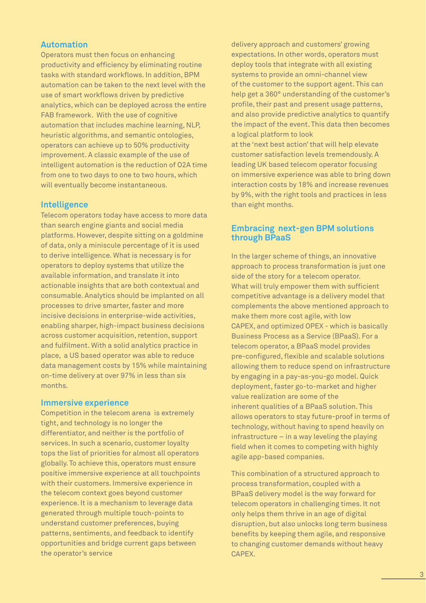# **Automation**

Operators must then focus on enhancing productivity and efficiency by eliminating routine tasks with standard workflows. In addition, BPM automation can be taken to the next level with the use of smart workflows driven by predictive analytics, which can be deployed across the entire FAB framework. With the use of cognitive automation that includes machine learning, NLP, heuristic algorithms, and semantic ontologies, operators can achieve up to 50% productivity improvement. A classic example of the use of intelligent automation is the reduction of O2A time from one to two days to one to two hours, which will eventually become instantaneous.

# **Intelligence** than eight months.

Telecom operators today have access to more data than search engine giants and social media platforms. However, despite sitting on a goldmine of data, only a miniscule percentage of it is used to derive intelligence. What is necessary is for operators to deploy systems that utilize the available information, and translate it into actionable insights that are both contextual and consumable. Analytics should be implanted on all processes to drive smarter, faster and more incisive decisions in enterprise-wide activities, enabling sharper, high-impact business decisions across customer acquisition, retention, support and fulfilment. With a solid analytics practice in place, a US based operator was able to reduce data management costs by 15% while maintaining on-time delivery at over 97% in less than six months.

### **Immersive experience**

Competition in the telecom arena is extremely tight, and technology is no longer the differentiator, and neither is the portfolio of services. In such a scenario, customer loyalty tops the list of priorities for almost all operators globally. To achieve this, operators must ensure positive immersive experience at all touchpoints with their customers. Immersive experience in the telecom context goes beyond customer experience. It is a mechanism to leverage data generated through multiple touch-points to understand customer preferences, buying patterns, sentiments, and feedback to identify opportunities and bridge current gaps between the operator's service

delivery approach and customers' growing expectations. In other words, operators must deploy tools that integrate with all existing systems to provide an omni-channel view of the customer to the support agent. This can help get a 360° understanding of the customer's profile, their past and present usage patterns, and also provide predictive analytics to quantify the impact of the event. This data then becomes a logical platform to look at the 'next best action' that will help elevate customer satisfaction levels tremendously. A leading UK based telecom operator focusing on immersive experience was able to bring down interaction costs by 18% and increase revenues

# **Embracing next-gen BPM solutions through BPaaS**

by 9%, with the right tools and practices in less

In the larger scheme of things, an innovative approach to process transformation is just one side of the story for a telecom operator. What will truly empower them with sufficient competitive advantage is a delivery model that complements the above mentioned approach to make them more cost agile, with low CAPEX, and optimized OPEX - which is basically Business Process as a Service (BPaaS). For a telecom operator, a BPaaS model provides pre-configured, flexible and scalable solutions allowing them to reduce spend on infrastructure by engaging in a pay-as-you-go model. Quick deployment, faster go-to-market and higher value realization are some of the inherent qualities of a BPaaS solution. This allows operators to stay future-proof in terms of technology, without having to spend heavily on infrastructure – in a way leveling the playing field when it comes to competing with highly agile app-based companies.

This combination of a structured approach to process transformation, coupled with a BPaaS delivery model is the way forward for telecom operators in challenging times. It not only helps them thrive in an age of digital disruption, but also unlocks long term business benefits by keeping them agile, and responsive to changing customer demands without heavy CAPEX.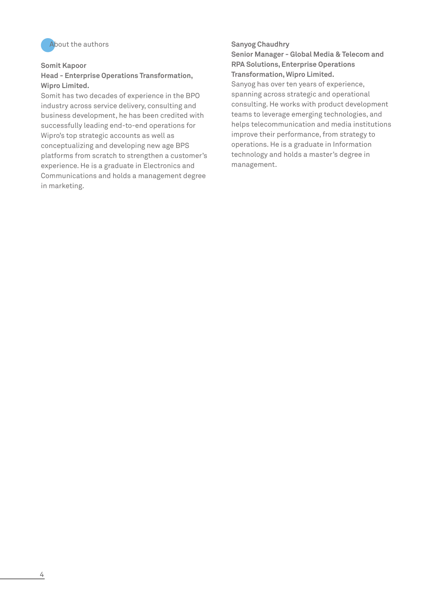

#### **Somit Kapoor**

# **Head - Enterprise Operations Transformation, Wipro Limited.**

Somit has two decades of experience in the BPO industry across service delivery, consulting and business development, he has been credited with successfully leading end-to-end operations for Wipro's top strategic accounts as well as conceptualizing and developing new age BPS platforms from scratch to strengthen a customer's experience. He is a graduate in Electronics and Communications and holds a management degree in marketing.

**Senior Manager - Global Media & Telecom and RPA Solutions, Enterprise Operations Transformation, Wipro Limited.**

Sanyog has over ten years of experience, spanning across strategic and operational consulting. He works with product development teams to leverage emerging technologies, and helps telecommunication and media institutions improve their performance, from strategy to operations. He is a graduate in Information technology and holds a master's degree in management.